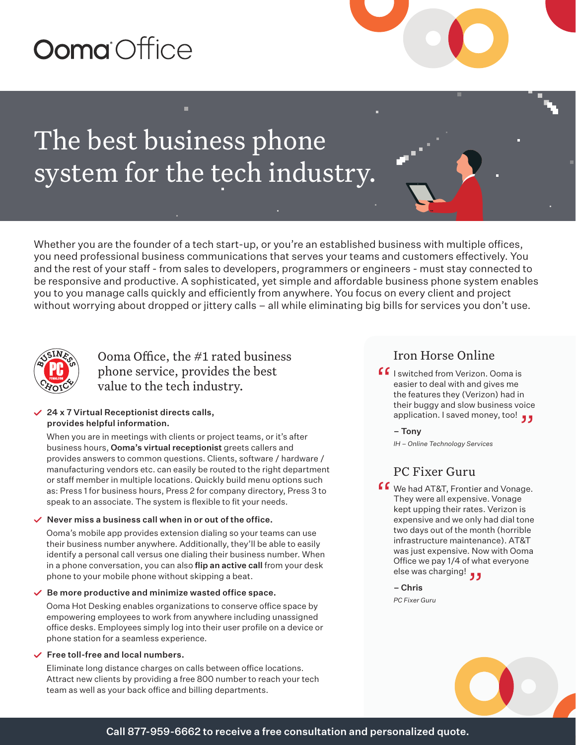# Ooma Office

## The best business phone system for the tech industry.

Whether you are the founder of a tech start-up, or you're an established business with multiple offices, you need professional business communications that serves your teams and customers effectively. You and the rest of your staff - from sales to developers, programmers or engineers - must stay connected to be responsive and productive. A sophisticated, yet simple and affordable business phone system enables you to you manage calls quickly and efficiently from anywhere. You focus on every client and project without worrying about dropped or jittery calls – all while eliminating big bills for services you don't use.



## Ooma Office, the #1 rated business phone service, provides the best value to the tech industry.

#### 24 x 7 Virtual Receptionist directs calls, provides helpful information.

When you are in meetings with clients or project teams, or it's after business hours, Ooma's virtual receptionist greets callers and provides answers to common questions. Clients, software / hardware / manufacturing vendors etc. can easily be routed to the right department or staff member in multiple locations. Quickly build menu options such as: Press 1 for business hours, Press 2 for company directory, Press 3 to speak to an associate. The system is flexible to fit your needs.

#### $\vee$  Never miss a business call when in or out of the office.

Ooma's mobile app provides extension dialing so your teams can use their business number anywhere. Additionally, they'll be able to easily identify a personal call versus one dialing their business number. When in a phone conversation, you can also flip an active call from your desk phone to your mobile phone without skipping a beat.

#### $\vee$  Be more productive and minimize wasted office space.

Ooma Hot Desking enables organizations to conserve office space by empowering employees to work from anywhere including unassigned office desks. Employees simply log into their user profile on a device or phone station for a seamless experience.

#### $\vee$  Free toll-free and local numbers.

Eliminate long distance charges on calls between office locations. Attract new clients by providing a free 800 number to reach your tech team as well as your back office and billing departments.

### Iron Horse Online

- $\Gamma$  I switched from Verizon. Ooma is<br>easier to deal with and gives me<br>the features they (Verizon) had in easier to deal with and gives me the features they (Verizon) had in their buggy and slow business voice application. I saved money, too! "
	- Tony

*IH – Online Technology Services* 

## PC Fixer Guru

**f 6** We had AT&T, Frontier and Vonage.<br>They were all expensive. Vonage<br>kont upping their rates. Verizon is They were all expensive. Vonage kept upping their rates. Verizon is expensive and we only had dial tone two days out of the month (horrible infrastructure maintenance). AT&T was just expensive. Now with Ooma Office we pay 1/4 of what everyone Office we pay 1/4 of wha<br>**و و** else was charging!

– Chris *PC Fixer Guru*